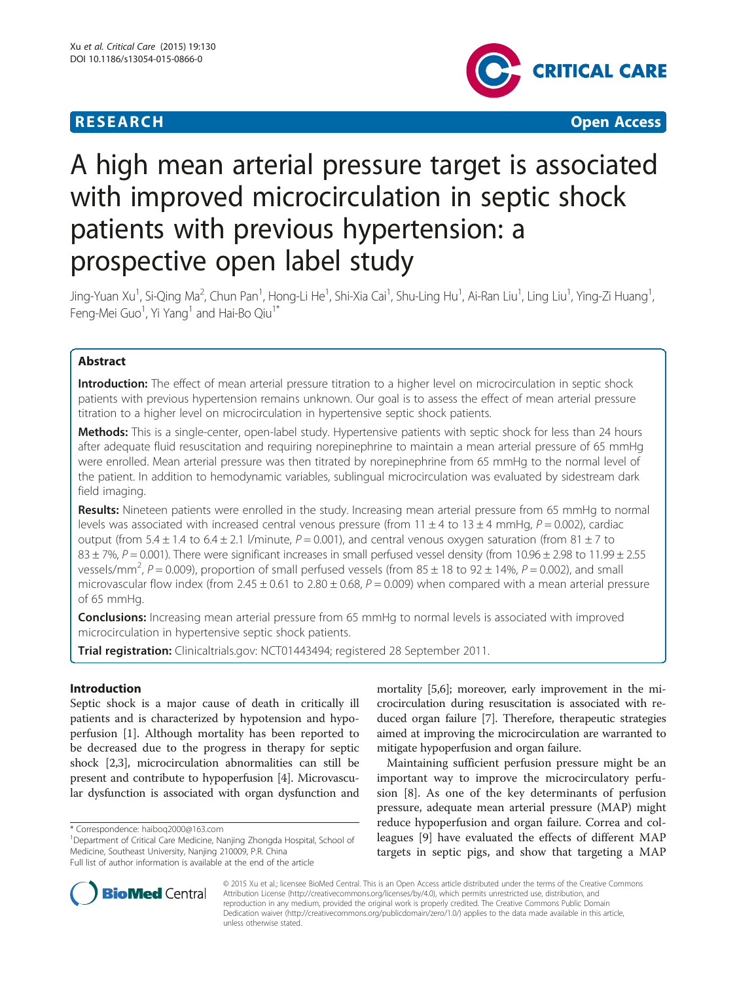# **RESEARCH CHEAR CHEAR CHEAR CHEAR CHEAR CHEAR CHEAR CHEAR CHEAR CHEAR CHEAR CHEAR CHEAR CHEAR CHEAR CHEAR CHEAR**



# A high mean arterial pressure target is associated with improved microcirculation in septic shock patients with previous hypertension: a prospective open label study

Jing-Yuan Xu<sup>1</sup>, Si-Qing Ma<sup>2</sup>, Chun Pan<sup>1</sup>, Hong-Li He<sup>1</sup>, Shi-Xia Cai<sup>1</sup>, Shu-Ling Hu<sup>1</sup>, Ai-Ran Liu<sup>1</sup>, Ling Liu<sup>1</sup>, Ying-Zi Huang<sup>1</sup> , Feng-Mei Guo $^1$ , Yi Yang $^1$  and Hai-Bo Qiu $^{1^\ast}$ 

# Abstract

Introduction: The effect of mean arterial pressure titration to a higher level on microcirculation in septic shock patients with previous hypertension remains unknown. Our goal is to assess the effect of mean arterial pressure titration to a higher level on microcirculation in hypertensive septic shock patients.

Methods: This is a single-center, open-label study. Hypertensive patients with septic shock for less than 24 hours after adequate fluid resuscitation and requiring norepinephrine to maintain a mean arterial pressure of 65 mmHg were enrolled. Mean arterial pressure was then titrated by norepinephrine from 65 mmHg to the normal level of the patient. In addition to hemodynamic variables, sublingual microcirculation was evaluated by sidestream dark field imaging.

Results: Nineteen patients were enrolled in the study. Increasing mean arterial pressure from 65 mmHg to normal levels was associated with increased central venous pressure (from  $11 \pm 4$  to  $13 \pm 4$  mmHg,  $P = 0.002$ ), cardiac output (from 5.4  $\pm$  1.4 to 6.4  $\pm$  2.1 /minute, P = 0.001), and central venous oxygen saturation (from 81  $\pm$  7 to  $83 \pm 7$ %,  $P = 0.001$ ). There were significant increases in small perfused vessel density (from 10.96  $\pm$  2.98 to 11.99  $\pm$  2.55 vessels/mm<sup>2</sup>, P = 0.009), proportion of small perfused vessels (from 85  $\pm$  18 to 92  $\pm$  14%, P = 0.002), and small microvascular flow index (from 2.45  $\pm$  0.61 to 2.80  $\pm$  0.68, P = 0.009) when compared with a mean arterial pressure of 65 mmHg.

**Conclusions:** Increasing mean arterial pressure from 65 mmHg to normal levels is associated with improved microcirculation in hypertensive septic shock patients.

Trial registration: Clinicaltrials.gov: [NCT01443494;](https://clinicaltrials.gov/ct2/show/NCT01443494?term=NCT01443494&rank=1) registered 28 September 2011.

# Introduction

Septic shock is a major cause of death in critically ill patients and is characterized by hypotension and hypoperfusion [[1](#page-6-0)]. Although mortality has been reported to be decreased due to the progress in therapy for septic shock [\[2,3](#page-6-0)], microcirculation abnormalities can still be present and contribute to hypoperfusion [\[4](#page-6-0)]. Microvascular dysfunction is associated with organ dysfunction and mortality [[5,6](#page-6-0)]; moreover, early improvement in the microcirculation during resuscitation is associated with reduced organ failure [\[7](#page-6-0)]. Therefore, therapeutic strategies aimed at improving the microcirculation are warranted to mitigate hypoperfusion and organ failure.

Maintaining sufficient perfusion pressure might be an important way to improve the microcirculatory perfusion [[8](#page-6-0)]. As one of the key determinants of perfusion pressure, adequate mean arterial pressure (MAP) might reduce hypoperfusion and organ failure. Correa and colleagues [[9](#page-6-0)] have evaluated the effects of different MAP targets in septic pigs, and show that targeting a MAP



© 2015 Xu et al.; licensee BioMed Central. This is an Open Access article distributed under the terms of the Creative Commons Attribution License (<http://creativecommons.org/licenses/by/4.0>), which permits unrestricted use, distribution, and reproduction in any medium, provided the original work is properly credited. The Creative Commons Public Domain Dedication waiver [\(http://creativecommons.org/publicdomain/zero/1.0/](http://creativecommons.org/publicdomain/zero/1.0/)) applies to the data made available in this article, unless otherwise stated.

<sup>\*</sup> Correspondence: [haiboq2000@163.com](mailto:haiboq2000@163.com) <sup>1</sup>

<sup>&</sup>lt;sup>1</sup>Department of Critical Care Medicine, Nanjing Zhongda Hospital, School of Medicine, Southeast University, Nanjing 210009, P.R. China

Full list of author information is available at the end of the article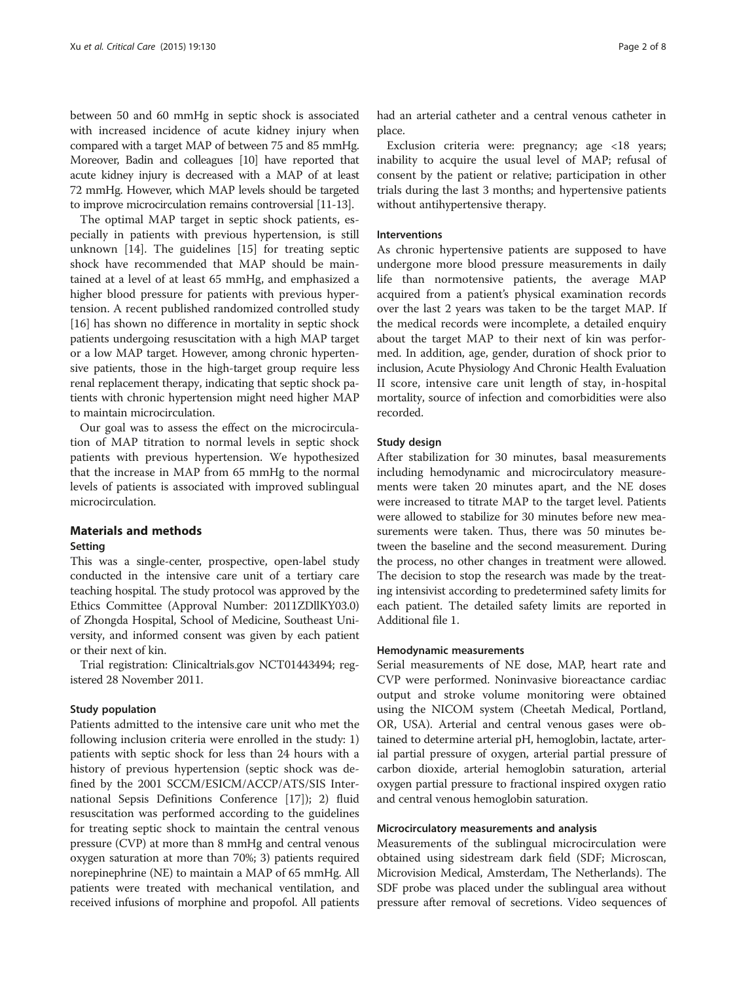between 50 and 60 mmHg in septic shock is associated with increased incidence of acute kidney injury when compared with a target MAP of between 75 and 85 mmHg. Moreover, Badin and colleagues [\[10\]](#page-6-0) have reported that acute kidney injury is decreased with a MAP of at least 72 mmHg. However, which MAP levels should be targeted to improve microcirculation remains controversial [\[11](#page-6-0)-[13](#page-7-0)].

The optimal MAP target in septic shock patients, especially in patients with previous hypertension, is still unknown [[14](#page-7-0)]. The guidelines [[15\]](#page-7-0) for treating septic shock have recommended that MAP should be maintained at a level of at least 65 mmHg, and emphasized a higher blood pressure for patients with previous hypertension. A recent published randomized controlled study [[16\]](#page-7-0) has shown no difference in mortality in septic shock patients undergoing resuscitation with a high MAP target or a low MAP target. However, among chronic hypertensive patients, those in the high-target group require less renal replacement therapy, indicating that septic shock patients with chronic hypertension might need higher MAP to maintain microcirculation.

Our goal was to assess the effect on the microcirculation of MAP titration to normal levels in septic shock patients with previous hypertension. We hypothesized that the increase in MAP from 65 mmHg to the normal levels of patients is associated with improved sublingual microcirculation.

# Materials and methods

#### Setting

This was a single-center, prospective, open-label study conducted in the intensive care unit of a tertiary care teaching hospital. The study protocol was approved by the Ethics Committee (Approval Number: 2011ZDllKY03.0) of Zhongda Hospital, School of Medicine, Southeast University, and informed consent was given by each patient or their next of kin.

Trial registration: Clinicaltrials.gov NCT01443494; registered 28 November 2011.

#### Study population

Patients admitted to the intensive care unit who met the following inclusion criteria were enrolled in the study: 1) patients with septic shock for less than 24 hours with a history of previous hypertension (septic shock was defined by the 2001 SCCM/ESICM/ACCP/ATS/SIS International Sepsis Definitions Conference [[17](#page-7-0)]); 2) fluid resuscitation was performed according to the guidelines for treating septic shock to maintain the central venous pressure (CVP) at more than 8 mmHg and central venous oxygen saturation at more than 70%; 3) patients required norepinephrine (NE) to maintain a MAP of 65 mmHg. All patients were treated with mechanical ventilation, and received infusions of morphine and propofol. All patients had an arterial catheter and a central venous catheter in place.

Exclusion criteria were: pregnancy; age <18 years; inability to acquire the usual level of MAP; refusal of consent by the patient or relative; participation in other trials during the last 3 months; and hypertensive patients without antihypertensive therapy.

#### Interventions

As chronic hypertensive patients are supposed to have undergone more blood pressure measurements in daily life than normotensive patients, the average MAP acquired from a patient's physical examination records over the last 2 years was taken to be the target MAP. If the medical records were incomplete, a detailed enquiry about the target MAP to their next of kin was performed. In addition, age, gender, duration of shock prior to inclusion, Acute Physiology And Chronic Health Evaluation II score, intensive care unit length of stay, in-hospital mortality, source of infection and comorbidities were also recorded.

#### Study design

After stabilization for 30 minutes, basal measurements including hemodynamic and microcirculatory measurements were taken 20 minutes apart, and the NE doses were increased to titrate MAP to the target level. Patients were allowed to stabilize for 30 minutes before new measurements were taken. Thus, there was 50 minutes between the baseline and the second measurement. During the process, no other changes in treatment were allowed. The decision to stop the research was made by the treating intensivist according to predetermined safety limits for each patient. The detailed safety limits are reported in Additional file [1](#page-6-0).

#### Hemodynamic measurements

Serial measurements of NE dose, MAP, heart rate and CVP were performed. Noninvasive bioreactance cardiac output and stroke volume monitoring were obtained using the NICOM system (Cheetah Medical, Portland, OR, USA). Arterial and central venous gases were obtained to determine arterial pH, hemoglobin, lactate, arterial partial pressure of oxygen, arterial partial pressure of carbon dioxide, arterial hemoglobin saturation, arterial oxygen partial pressure to fractional inspired oxygen ratio and central venous hemoglobin saturation.

## Microcirculatory measurements and analysis

Measurements of the sublingual microcirculation were obtained using sidestream dark field (SDF; Microscan, Microvision Medical, Amsterdam, The Netherlands). The SDF probe was placed under the sublingual area without pressure after removal of secretions. Video sequences of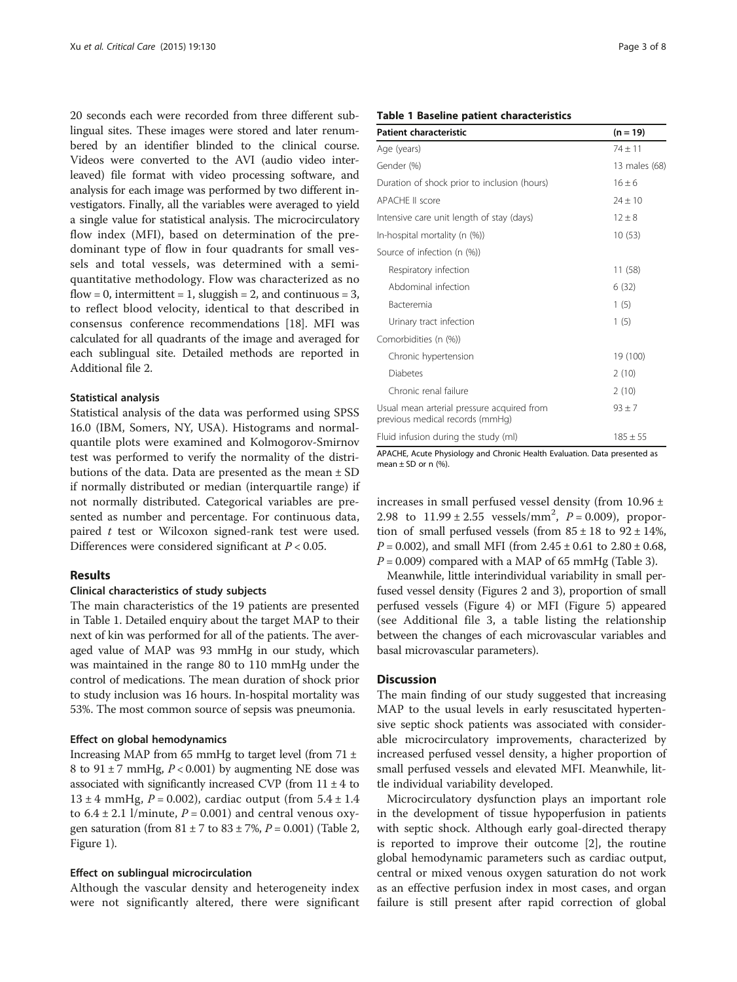20 seconds each were recorded from three different sublingual sites. These images were stored and later renumbered by an identifier blinded to the clinical course. Videos were converted to the AVI (audio video interleaved) file format with video processing software, and analysis for each image was performed by two different investigators. Finally, all the variables were averaged to yield a single value for statistical analysis. The microcirculatory flow index (MFI), based on determination of the predominant type of flow in four quadrants for small vessels and total vessels, was determined with a semiquantitative methodology. Flow was characterized as no flow = 0, intermittent = 1, sluggish = 2, and continuous = 3, to reflect blood velocity, identical to that described in consensus conference recommendations [[18](#page-7-0)]. MFI was calculated for all quadrants of the image and averaged for each sublingual site. Detailed methods are reported in Additional file [2](#page-6-0).

#### Statistical analysis

Statistical analysis of the data was performed using SPSS 16.0 (IBM, Somers, NY, USA). Histograms and normalquantile plots were examined and Kolmogorov-Smirnov test was performed to verify the normality of the distributions of the data. Data are presented as the mean ± SD if normally distributed or median (interquartile range) if not normally distributed. Categorical variables are presented as number and percentage. For continuous data, paired t test or Wilcoxon signed-rank test were used. Differences were considered significant at  $P < 0.05$ .

#### Results

## Clinical characteristics of study subjects

The main characteristics of the 19 patients are presented in Table 1. Detailed enquiry about the target MAP to their next of kin was performed for all of the patients. The averaged value of MAP was 93 mmHg in our study, which was maintained in the range 80 to 110 mmHg under the control of medications. The mean duration of shock prior to study inclusion was 16 hours. In-hospital mortality was 53%. The most common source of sepsis was pneumonia.

#### Effect on global hemodynamics

Increasing MAP from 65 mmHg to target level (from  $71 \pm$ 8 to 91  $\pm$  7 mmHg, *P* < 0.001) by augmenting NE dose was associated with significantly increased CVP (from  $11 \pm 4$  to 13 ± 4 mmHg,  $P = 0.002$ ), cardiac output (from  $5.4 \pm 1.4$ to  $6.4 \pm 2.1$  l/minute,  $P = 0.001$ ) and central venous oxygen saturation (from  $81 \pm 7$  to  $83 \pm 7$ %,  $P = 0.001$ ) (Table [2](#page-3-0), Figure [1](#page-3-0)).

#### Effect on sublingual microcirculation

Although the vascular density and heterogeneity index were not significantly altered, there were significant

#### Table 1 Baseline patient characteristics

| <b>Patient characteristic</b>                                                 | $(n = 19)$    |
|-------------------------------------------------------------------------------|---------------|
| Age (years)                                                                   | $74 \pm 11$   |
| Gender (%)                                                                    | 13 males (68) |
| Duration of shock prior to inclusion (hours)                                  | $16 \pm 6$    |
| APACHE II score                                                               | $24 \pm 10$   |
| Intensive care unit length of stay (days)                                     | $12 \pm 8$    |
| In-hospital mortality (n (%))                                                 | 10(53)        |
| Source of infection (n (%))                                                   |               |
| Respiratory infection                                                         | 11(58)        |
| Abdominal infection                                                           | 6(32)         |
| Bacteremia                                                                    | 1(5)          |
| Urinary tract infection                                                       | 1(5)          |
| Comorbidities (n (%))                                                         |               |
| Chronic hypertension                                                          | 19 (100)      |
| <b>Diabetes</b>                                                               | 2(10)         |
| Chronic renal failure                                                         | 2(10)         |
| Usual mean arterial pressure acquired from<br>previous medical records (mmHq) | $93 \pm 7$    |
| Fluid infusion during the study (ml)                                          | $185 \pm 55$  |

APACHE, Acute Physiology and Chronic Health Evaluation. Data presented as mean  $\pm$  SD or n (%).

increases in small perfused vessel density (from 10.96 ± 2.98 to  $11.99 \pm 2.55$  vessels/mm<sup>2</sup>,  $P = 0.009$ ), proportion of small perfused vessels (from  $85 \pm 18$  to  $92 \pm 14$ %,  $P = 0.002$ ), and small MFI (from  $2.45 \pm 0.61$  to  $2.80 \pm 0.68$ ,  $P = 0.009$ ) compared with a MAP of 65 mmHg (Table [3](#page-4-0)).

Meanwhile, little interindividual variability in small perfused vessel density (Figures [2](#page-4-0) and [3\)](#page-5-0), proportion of small perfused vessels (Figure [4](#page-5-0)) or MFI (Figure [5](#page-5-0)) appeared (see Additional file [3](#page-6-0), a table listing the relationship between the changes of each microvascular variables and basal microvascular parameters).

#### **Discussion**

The main finding of our study suggested that increasing MAP to the usual levels in early resuscitated hypertensive septic shock patients was associated with considerable microcirculatory improvements, characterized by increased perfused vessel density, a higher proportion of small perfused vessels and elevated MFI. Meanwhile, little individual variability developed.

Microcirculatory dysfunction plays an important role in the development of tissue hypoperfusion in patients with septic shock. Although early goal-directed therapy is reported to improve their outcome [[2\]](#page-6-0), the routine global hemodynamic parameters such as cardiac output, central or mixed venous oxygen saturation do not work as an effective perfusion index in most cases, and organ failure is still present after rapid correction of global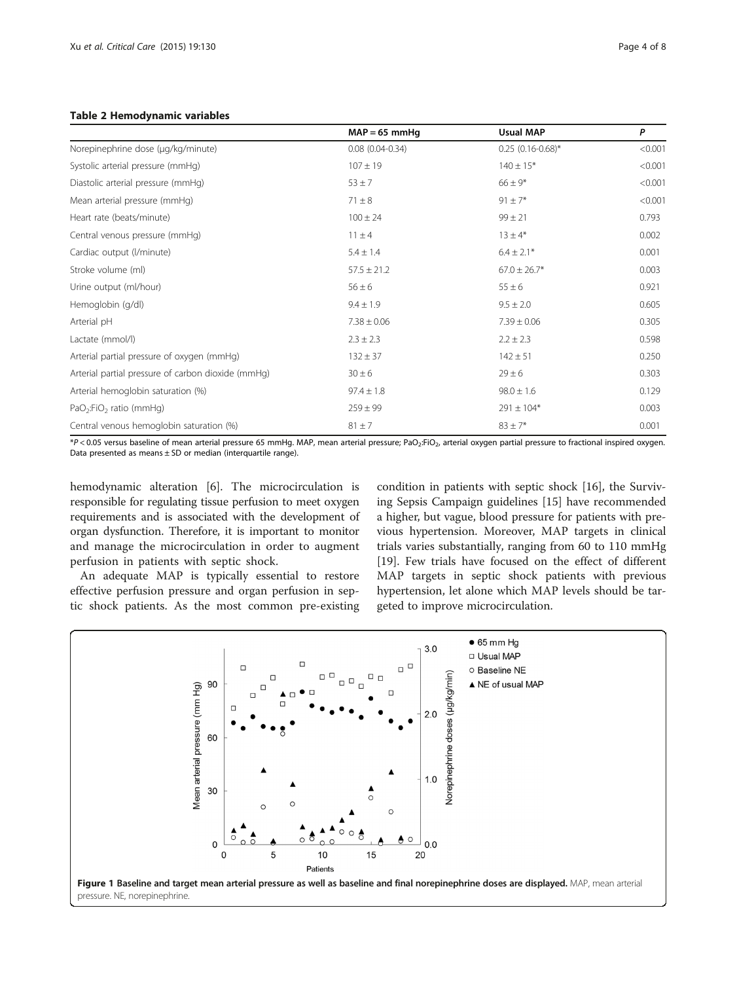#### <span id="page-3-0"></span>Table 2 Hemodynamic variables

|                                                    | $MAP = 65$ mmHq     | <b>Usual MAP</b>    | P       |
|----------------------------------------------------|---------------------|---------------------|---------|
| Norepinephrine dose (µg/kg/minute)                 | $0.08(0.04 - 0.34)$ | $0.25$ (0.16-0.68)* | < 0.001 |
| Systolic arterial pressure (mmHg)                  | $107 \pm 19$        | $140 \pm 15*$       | < 0.001 |
| Diastolic arterial pressure (mmHg)                 | $53 \pm 7$          | $66 \pm 9*$         | < 0.001 |
| Mean arterial pressure (mmHg)                      | $71 \pm 8$          | $91 \pm 7*$         | < 0.001 |
| Heart rate (beats/minute)                          | $100 \pm 24$        | $99 \pm 21$         | 0.793   |
| Central venous pressure (mmHg)                     | $11 \pm 4$          | $13 \pm 4*$         | 0.002   |
| Cardiac output (I/minute)                          | $5.4 \pm 1.4$       | $6.4 \pm 2.1*$      | 0.001   |
| Stroke volume (ml)                                 | $57.5 \pm 21.2$     | $67.0 \pm 26.7*$    | 0.003   |
| Urine output (ml/hour)                             | $56 \pm 6$          | $55 \pm 6$          | 0.921   |
| Hemoglobin (g/dl)                                  | $9.4 \pm 1.9$       | $9.5 \pm 2.0$       | 0.605   |
| Arterial pH                                        | $7.38 \pm 0.06$     | $7.39 \pm 0.06$     | 0.305   |
| Lactate (mmol/l)                                   | $2.3 \pm 2.3$       | $2.2 \pm 2.3$       | 0.598   |
| Arterial partial pressure of oxygen (mmHg)         | $132 \pm 37$        | $142 \pm 51$        | 0.250   |
| Arterial partial pressure of carbon dioxide (mmHq) | $30 \pm 6$          | $29 \pm 6$          | 0.303   |
| Arterial hemoglobin saturation (%)                 | $97.4 \pm 1.8$      | $98.0 \pm 1.6$      | 0.129   |
| PaO <sub>2</sub> :FiO <sub>2</sub> ratio (mmHg)    | $259 \pm 99$        | $291 \pm 104*$      | 0.003   |
| Central venous hemoglobin saturation (%)           | $81 \pm 7$          | $83 \pm 7*$         | 0.001   |

\*P < 0.05 versus baseline of mean arterial pressure 65 mmHq. MAP, mean arterial pressure; PaO<sub>2</sub>:FiO<sub>2</sub>, arterial oxygen partial pressure to fractional inspired oxygen. Data presented as means  $\pm$  SD or median (interquartile range).

hemodynamic alteration [[6\]](#page-6-0). The microcirculation is responsible for regulating tissue perfusion to meet oxygen requirements and is associated with the development of organ dysfunction. Therefore, it is important to monitor and manage the microcirculation in order to augment perfusion in patients with septic shock.

An adequate MAP is typically essential to restore effective perfusion pressure and organ perfusion in septic shock patients. As the most common pre-existing condition in patients with septic shock [[16\]](#page-7-0), the Surviving Sepsis Campaign guidelines [[15](#page-7-0)] have recommended a higher, but vague, blood pressure for patients with previous hypertension. Moreover, MAP targets in clinical trials varies substantially, ranging from 60 to 110 mmHg [[19\]](#page-7-0). Few trials have focused on the effect of different MAP targets in septic shock patients with previous hypertension, let alone which MAP levels should be targeted to improve microcirculation.

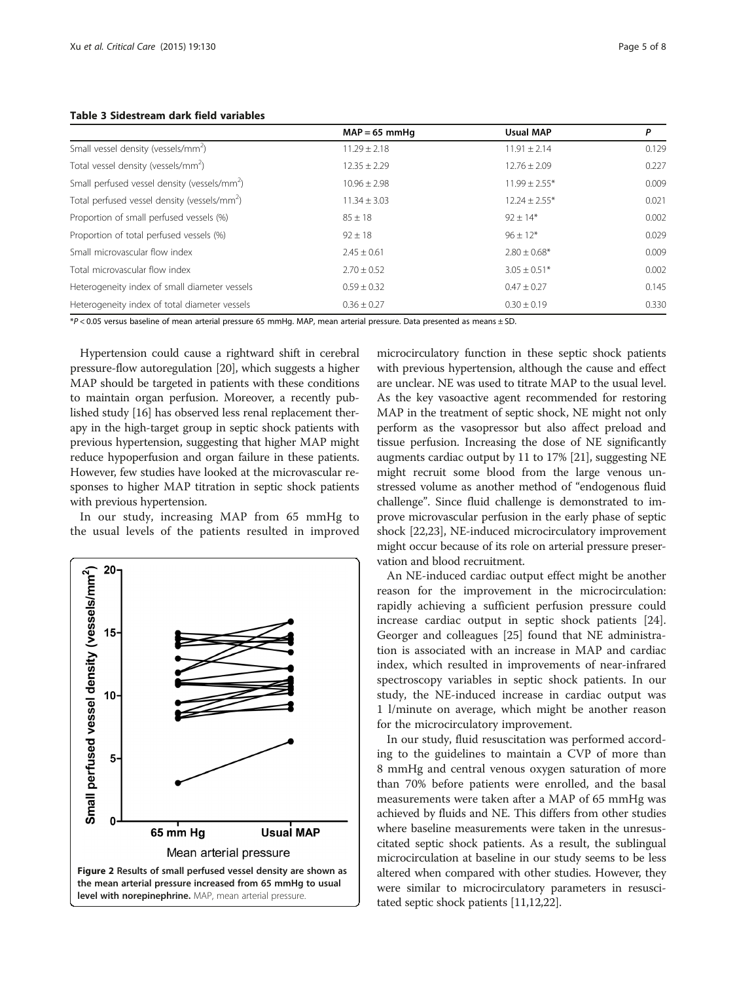|                                                          | $MAP = 65$ mmHq  | <b>Usual MAP</b>  | P     |
|----------------------------------------------------------|------------------|-------------------|-------|
| Small vessel density (vessels/mm <sup>2</sup> )          | $11.29 \pm 2.18$ | $11.91 \pm 2.14$  | 0.129 |
| Total vessel density (vessels/mm <sup>2</sup> )          | $12.35 \pm 2.29$ | $12.76 \pm 2.09$  | 0.227 |
| Small perfused vessel density (vessels/mm <sup>2</sup> ) | $10.96 + 2.98$   | $11.99 \pm 2.55*$ | 0.009 |
| Total perfused vessel density (vessels/mm <sup>2</sup> ) | $11.34 \pm 3.03$ | $12.24 \pm 2.55*$ | 0.021 |
| Proportion of small perfused vessels (%)                 | $85 \pm 18$      | $92 \pm 14*$      | 0.002 |
| Proportion of total perfused vessels (%)                 | $92 \pm 18$      | $96 \pm 12*$      | 0.029 |
| Small microvascular flow index                           | $2.45 \pm 0.61$  | $2.80 \pm 0.68^*$ | 0.009 |
| Total microvascular flow index                           | $2.70 \pm 0.52$  | $3.05 \pm 0.51*$  | 0.002 |
| Heterogeneity index of small diameter vessels            | $0.59 \pm 0.32$  | $0.47 \pm 0.27$   | 0.145 |
| Heterogeneity index of total diameter vessels            | $0.36 \pm 0.27$  | $0.30 \pm 0.19$   | 0.330 |

<span id="page-4-0"></span>Table 3 Sidestream dark field variables

\*P < 0.05 versus baseline of mean arterial pressure 65 mmHg. MAP, mean arterial pressure. Data presented as means ± SD.

Hypertension could cause a rightward shift in cerebral pressure-flow autoregulation [[20](#page-7-0)], which suggests a higher MAP should be targeted in patients with these conditions to maintain organ perfusion. Moreover, a recently published study [[16](#page-7-0)] has observed less renal replacement therapy in the high-target group in septic shock patients with previous hypertension, suggesting that higher MAP might reduce hypoperfusion and organ failure in these patients. However, few studies have looked at the microvascular responses to higher MAP titration in septic shock patients with previous hypertension.

In our study, increasing MAP from 65 mmHg to the usual levels of the patients resulted in improved



microcirculatory function in these septic shock patients with previous hypertension, although the cause and effect are unclear. NE was used to titrate MAP to the usual level. As the key vasoactive agent recommended for restoring MAP in the treatment of septic shock, NE might not only perform as the vasopressor but also affect preload and tissue perfusion. Increasing the dose of NE significantly augments cardiac output by 11 to 17% [[21\]](#page-7-0), suggesting NE might recruit some blood from the large venous unstressed volume as another method of "endogenous fluid challenge". Since fluid challenge is demonstrated to improve microvascular perfusion in the early phase of septic shock [\[22,23](#page-7-0)], NE-induced microcirculatory improvement might occur because of its role on arterial pressure preservation and blood recruitment.

An NE-induced cardiac output effect might be another reason for the improvement in the microcirculation: rapidly achieving a sufficient perfusion pressure could increase cardiac output in septic shock patients [\[24](#page-7-0)]. Georger and colleagues [[25\]](#page-7-0) found that NE administration is associated with an increase in MAP and cardiac index, which resulted in improvements of near-infrared spectroscopy variables in septic shock patients. In our study, the NE-induced increase in cardiac output was 1 l/minute on average, which might be another reason for the microcirculatory improvement.

In our study, fluid resuscitation was performed according to the guidelines to maintain a CVP of more than 8 mmHg and central venous oxygen saturation of more than 70% before patients were enrolled, and the basal measurements were taken after a MAP of 65 mmHg was achieved by fluids and NE. This differs from other studies where baseline measurements were taken in the unresuscitated septic shock patients. As a result, the sublingual microcirculation at baseline in our study seems to be less altered when compared with other studies. However, they were similar to microcirculatory parameters in resuscitated septic shock patients [[11](#page-6-0),[12](#page-6-0)[,22\]](#page-7-0).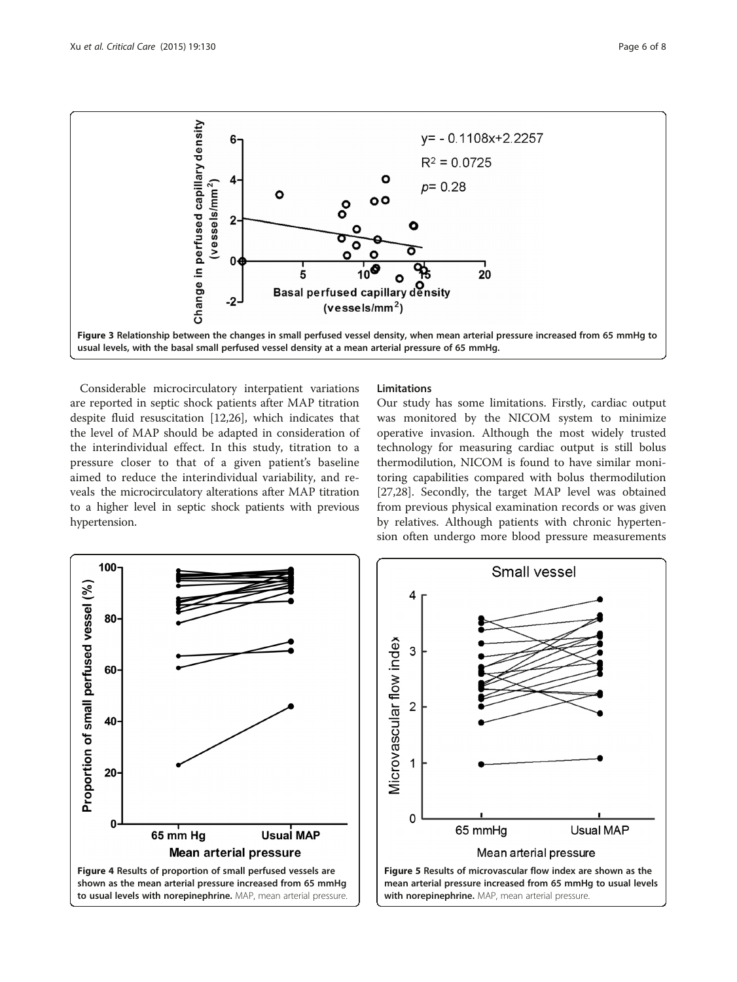<span id="page-5-0"></span>

Considerable microcirculatory interpatient variations are reported in septic shock patients after MAP titration despite fluid resuscitation [[12,](#page-6-0)[26\]](#page-7-0), which indicates that the level of MAP should be adapted in consideration of the interindividual effect. In this study, titration to a pressure closer to that of a given patient's baseline aimed to reduce the interindividual variability, and reveals the microcirculatory alterations after MAP titration to a higher level in septic shock patients with previous hypertension.

#### Limitations

Our study has some limitations. Firstly, cardiac output was monitored by the NICOM system to minimize operative invasion. Although the most widely trusted technology for measuring cardiac output is still bolus thermodilution, NICOM is found to have similar monitoring capabilities compared with bolus thermodilution [[27,28\]](#page-7-0). Secondly, the target MAP level was obtained from previous physical examination records or was given by relatives. Although patients with chronic hypertension often undergo more blood pressure measurements



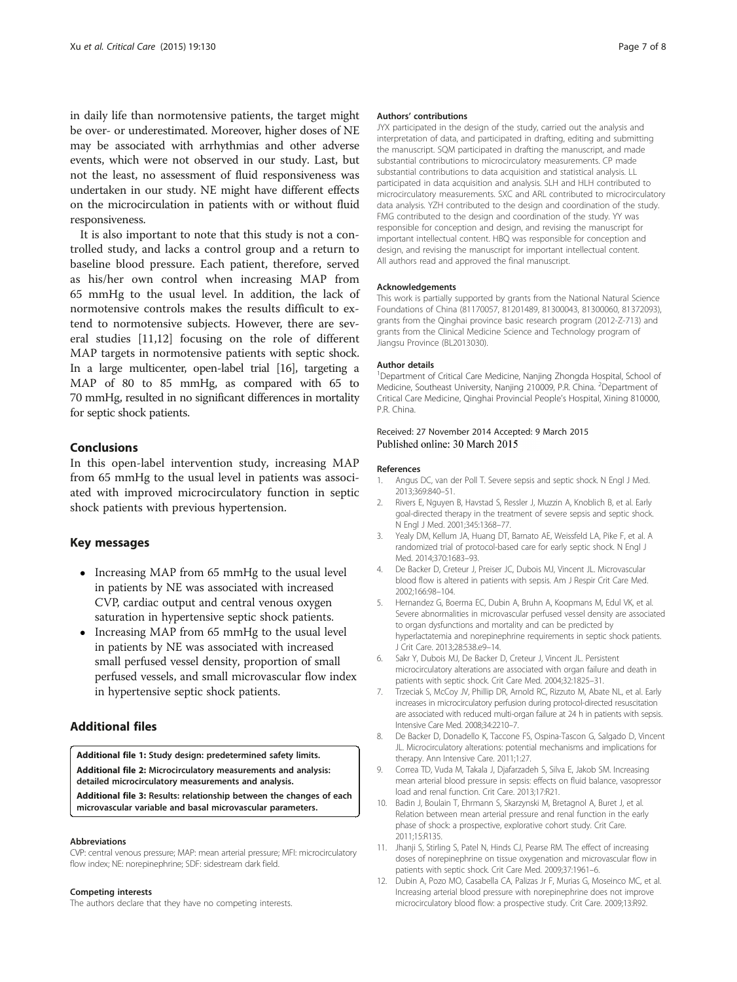<span id="page-6-0"></span>in daily life than normotensive patients, the target might be over- or underestimated. Moreover, higher doses of NE may be associated with arrhythmias and other adverse events, which were not observed in our study. Last, but not the least, no assessment of fluid responsiveness was undertaken in our study. NE might have different effects on the microcirculation in patients with or without fluid responsiveness.

It is also important to note that this study is not a controlled study, and lacks a control group and a return to baseline blood pressure. Each patient, therefore, served as his/her own control when increasing MAP from 65 mmHg to the usual level. In addition, the lack of normotensive controls makes the results difficult to extend to normotensive subjects. However, there are several studies [11,12] focusing on the role of different MAP targets in normotensive patients with septic shock. In a large multicenter, open-label trial [\[16\]](#page-7-0), targeting a MAP of 80 to 85 mmHg, as compared with 65 to 70 mmHg, resulted in no significant differences in mortality for septic shock patients.

#### Conclusions

In this open-label intervention study, increasing MAP from 65 mmHg to the usual level in patients was associated with improved microcirculatory function in septic shock patients with previous hypertension.

#### Key messages

- Increasing MAP from 65 mmHg to the usual level in patients by NE was associated with increased CVP, cardiac output and central venous oxygen saturation in hypertensive septic shock patients.
- Increasing MAP from 65 mmHg to the usual level in patients by NE was associated with increased small perfused vessel density, proportion of small perfused vessels, and small microvascular flow index in hypertensive septic shock patients.

#### Additional files

[Additional file 1:](http://ccforum.com/content/supplementary/s13054-015-0866-0-s1.doc) Study design: predetermined safety limits. [Additional file 2:](http://ccforum.com/content/supplementary/s13054-015-0866-0-s2.doc) Microcirculatory measurements and analysis: detailed microcirculatory measurements and analysis. [Additional file 3:](http://ccforum.com/content/supplementary/s13054-015-0866-0-s3.doc) Results: relationship between the changes of each microvascular variable and basal microvascular parameters.

#### Abbreviations

CVP: central venous pressure; MAP: mean arterial pressure; MFI: microcirculatory flow index; NE: norepinephrine; SDF: sidestream dark field.

#### Competing interests

The authors declare that they have no competing interests.

#### Authors' contributions

JYX participated in the design of the study, carried out the analysis and interpretation of data, and participated in drafting, editing and submitting the manuscript. SQM participated in drafting the manuscript, and made substantial contributions to microcirculatory measurements. CP made substantial contributions to data acquisition and statistical analysis. LL participated in data acquisition and analysis. SLH and HLH contributed to microcirculatory measurements. SXC and ARL contributed to microcirculatory data analysis. YZH contributed to the design and coordination of the study. FMG contributed to the design and coordination of the study. YY was responsible for conception and design, and revising the manuscript for important intellectual content. HBQ was responsible for conception and design, and revising the manuscript for important intellectual content. All authors read and approved the final manuscript.

#### Acknowledgements

This work is partially supported by grants from the National Natural Science Foundations of China (81170057, 81201489, 81300043, 81300060, 81372093), grants from the Qinghai province basic research program (2012-Z-713) and grants from the Clinical Medicine Science and Technology program of Jiangsu Province (BL2013030).

#### Author details

<sup>1</sup>Department of Critical Care Medicine, Nanjing Zhongda Hospital, School of Medicine, Southeast University, Nanjing 210009, P.R. China. <sup>2</sup>Department of Critical Care Medicine, Qinghai Provincial People's Hospital, Xining 810000, P.R. China.

#### Received: 27 November 2014 Accepted: 9 March 2015 Published online: 30 March 2015

#### References

- 1. Angus DC, van der Poll T. Severe sepsis and septic shock. N Engl J Med. 2013;369:840–51.
- 2. Rivers E, Nguyen B, Havstad S, Ressler J, Muzzin A, Knoblich B, et al. Early goal-directed therapy in the treatment of severe sepsis and septic shock. N Engl J Med. 2001;345:1368–77.
- 3. Yealy DM, Kellum JA, Huang DT, Barnato AE, Weissfeld LA, Pike F, et al. A randomized trial of protocol-based care for early septic shock. N Engl J Med. 2014;370:1683–93.
- 4. De Backer D, Creteur J, Preiser JC, Dubois MJ, Vincent JL. Microvascular blood flow is altered in patients with sepsis. Am J Respir Crit Care Med. 2002;166:98–104.
- 5. Hernandez G, Boerma EC, Dubin A, Bruhn A, Koopmans M, Edul VK, et al. Severe abnormalities in microvascular perfused vessel density are associated to organ dysfunctions and mortality and can be predicted by hyperlactatemia and norepinephrine requirements in septic shock patients. J Crit Care. 2013;28:538.e9–14.
- 6. Sakr Y, Dubois MJ, De Backer D, Creteur J, Vincent JL. Persistent microcirculatory alterations are associated with organ failure and death in patients with septic shock. Crit Care Med. 2004;32:1825–31.
- 7. Trzeciak S, McCoy JV, Phillip DR, Arnold RC, Rizzuto M, Abate NL, et al. Early increases in microcirculatory perfusion during protocol-directed resuscitation are associated with reduced multi-organ failure at 24 h in patients with sepsis. Intensive Care Med. 2008;34:2210–7.
- 8. De Backer D, Donadello K, Taccone FS, Ospina-Tascon G, Salgado D, Vincent JL. Microcirculatory alterations: potential mechanisms and implications for therapy. Ann Intensive Care. 2011;1:27.
- 9. Correa TD, Vuda M, Takala J, Djafarzadeh S, Silva E, Jakob SM. Increasing mean arterial blood pressure in sepsis: effects on fluid balance, vasopressor load and renal function. Crit Care. 2013;17:R21.
- 10. Badin J, Boulain T, Ehrmann S, Skarzynski M, Bretagnol A, Buret J, et al. Relation between mean arterial pressure and renal function in the early phase of shock: a prospective, explorative cohort study. Crit Care. 2011;15:R135.
- 11. Jhanji S, Stirling S, Patel N, Hinds CJ, Pearse RM. The effect of increasing doses of norepinephrine on tissue oxygenation and microvascular flow in patients with septic shock. Crit Care Med. 2009;37:1961–6.
- 12. Dubin A, Pozo MO, Casabella CA, Palizas Jr F, Murias G, Moseinco MC, et al. Increasing arterial blood pressure with norepinephrine does not improve microcirculatory blood flow: a prospective study. Crit Care. 2009;13:R92.